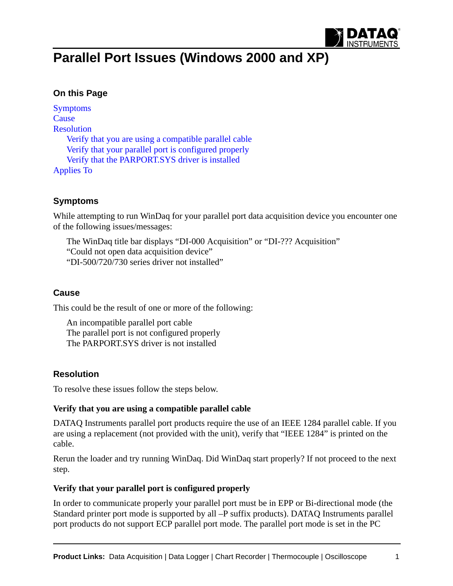

# **Parallel Port Issues (Windows 2000 and XP)**

## **On this Page**

[Symptoms](#page-0-0) **[Cause](#page-0-1)** [Resolution](#page-0-2) [Verify that you are using a compatible parallel cable](#page-0-3) [Verify that your parallel port is configured properly](#page-0-4) [Verify that the PARPORT.SYS driver is installed](#page-1-0) [Applies To](#page-2-0)

## <span id="page-0-0"></span>**Symptoms**

While attempting to run WinDaq for your parallel port data acquisition device you encounter one of the following issues/messages:

The WinDaq title bar displays "DI-000 Acquisition" or "DI-??? Acquisition" "Could not open data acquisition device" "DI-500/720/730 series driver not installed"

#### <span id="page-0-1"></span>**Cause**

This could be the result of one or more of the following:

An incompatible parallel port cable The parallel port is not configured properly The PARPORT.SYS driver is not installed

### <span id="page-0-2"></span>**Resolution**

To resolve these issues follow the steps below.

#### <span id="page-0-3"></span>**Verify that you are using a compatible parallel cable**

DATAQ Instruments parallel port products require the use of an IEEE 1284 parallel cable. If you are using a replacement (not provided with the unit), verify that "IEEE 1284" is printed on the cable.

Rerun the loader and try running WinDaq. Did WinDaq start properly? If not proceed to the next step.

#### <span id="page-0-4"></span>**Verify that your parallel port is configured properly**

In order to communicate properly your parallel port must be in EPP or Bi-directional mode (the Standard printer port mode is supported by all –P suffix products). DATAQ Instruments parallel port products do not support ECP parallel port mode. The parallel port mode is set in the PC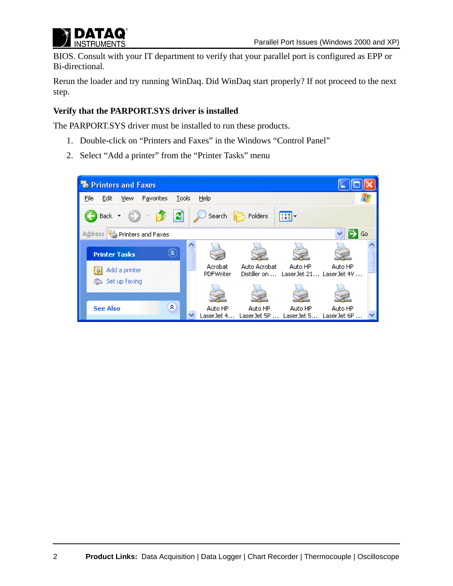

BIOS. Consult with your IT department to verify that your parallel port is configured as EPP or Bi-directional.

Rerun the loader and try running WinDaq. Did WinDaq start properly? If not proceed to the next step.

#### <span id="page-1-0"></span>**Verify that the PARPORT.SYS driver is installed**

The PARPORT.SYS driver must be installed to run these products.

- 1. Double-click on "Printers and Faxes" in the Windows "Control Panel"
- 2. Select "Add a printer" from the "Printer Tasks" menu